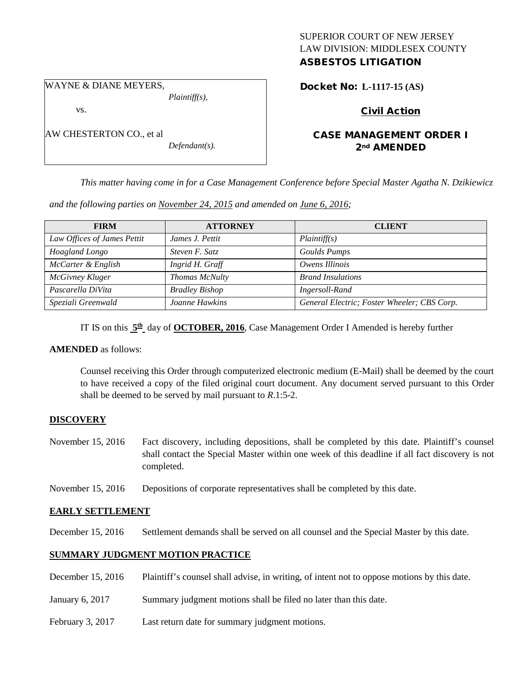# SUPERIOR COURT OF NEW JERSEY LAW DIVISION: MIDDLESEX COUNTY

## ASBESTOS LITIGATION

WAYNE & DIANE MEYERS,

vs.

AW CHESTERTON CO., et al

*Defendant(s).*

*Plaintiff(s),*

Docket No: **L-1117-15 (AS)** 

## Civil Action

## CASE MANAGEMENT ORDER I 2nd AMENDED

*This matter having come in for a Case Management Conference before Special Master Agatha N. Dzikiewicz* 

*and the following parties on November 24, 2015 and amended on June 6, 2016;*

| <b>FIRM</b>                 | <b>ATTORNEY</b>       | <b>CLIENT</b>                               |
|-----------------------------|-----------------------|---------------------------------------------|
| Law Offices of James Pettit | James J. Pettit       | Plaintiff(s)                                |
| Hoagland Longo              | Steven F. Satz        | Goulds Pumps                                |
| McCarter & English          | Ingrid H. Graff       | Owens Illinois                              |
| McGivney Kluger             | Thomas McNulty        | <b>Brand Insulations</b>                    |
| Pascarella DiVita           | <b>Bradley Bishop</b> | Ingersoll-Rand                              |
| Speziali Greenwald          | Joanne Hawkins        | General Electric; Foster Wheeler; CBS Corp. |

IT IS on this  $5^{\text{th}}$  day of **OCTOBER, 2016**, Case Management Order I Amended is hereby further

## **AMENDED** as follows:

Counsel receiving this Order through computerized electronic medium (E-Mail) shall be deemed by the court to have received a copy of the filed original court document. Any document served pursuant to this Order shall be deemed to be served by mail pursuant to *R*.1:5-2.

## **DISCOVERY**

November 15, 2016 Fact discovery, including depositions, shall be completed by this date. Plaintiff's counsel shall contact the Special Master within one week of this deadline if all fact discovery is not completed.

November 15, 2016 Depositions of corporate representatives shall be completed by this date.

## **EARLY SETTLEMENT**

December 15, 2016 Settlement demands shall be served on all counsel and the Special Master by this date.

## **SUMMARY JUDGMENT MOTION PRACTICE**

December 15, 2016 Plaintiff's counsel shall advise, in writing, of intent not to oppose motions by this date.

January 6, 2017 Summary judgment motions shall be filed no later than this date.

February 3, 2017 Last return date for summary judgment motions.